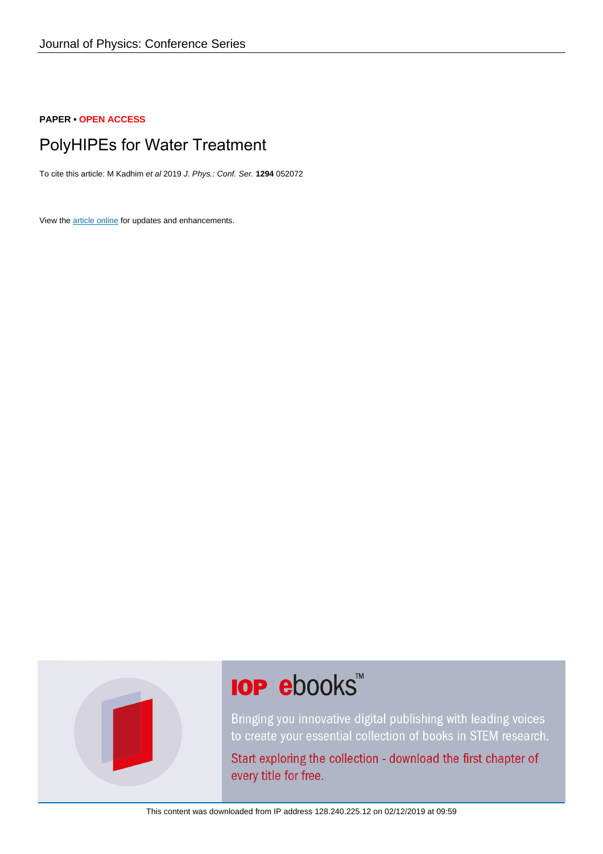#### **PAPER • OPEN ACCESS**

# PolyHIPEs for Water Treatment

To cite this article: M Kadhim et al 2019 J. Phys.: Conf. Ser. **1294** 052072

View the [article online](https://doi.org/10.1088/1742-6596/1294/5/052072) for updates and enhancements.



# **IOP ebooks**™

Bringing you innovative digital publishing with leading voices to create your essential collection of books in STEM research.

Start exploring the collection - download the first chapter of every title for free.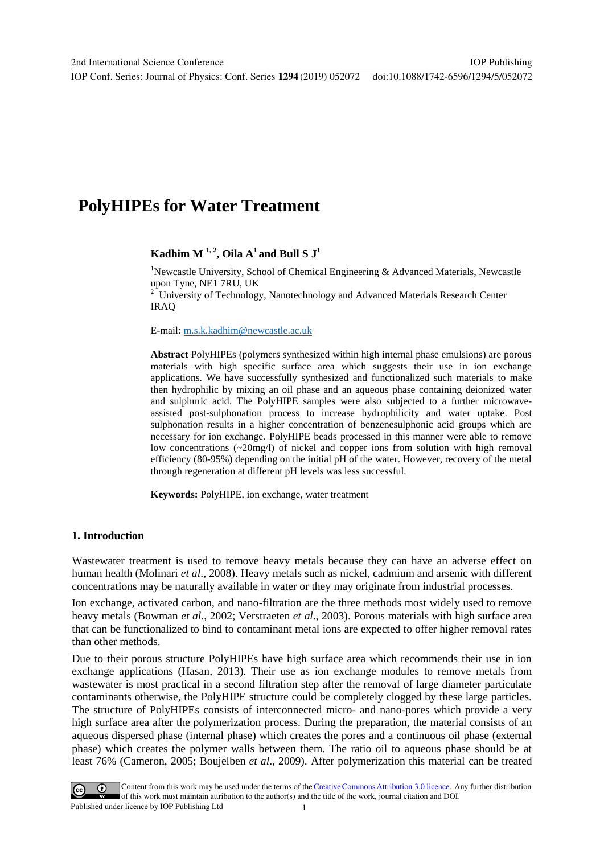# **PolyHIPEs for Water Treatment**

# $K$ adhim M<sup>1,2</sup>, Oila A<sup>1</sup> and Bull S J<sup>1</sup>

<sup>1</sup>Newcastle University, School of Chemical Engineering & Advanced Materials, Newcastle upon Tyne, NE1 7RU, UK

<sup>2</sup> University of Technology, Nanotechnology and Advanced Materials Research Center IRAQ

E-mail: [m.s.k.kadhim@newcastle.ac.uk](mailto:m.s.k.kadhim@newcastle.ac.uk)

**Abstract** PolyHIPEs (polymers synthesized within high internal phase emulsions) are porous materials with high specific surface area which suggests their use in ion exchange applications. We have successfully synthesized and functionalized such materials to make then hydrophilic by mixing an oil phase and an aqueous phase containing deionized water and sulphuric acid. The PolyHIPE samples were also subjected to a further microwaveassisted post-sulphonation process to increase hydrophilicity and water uptake. Post sulphonation results in a higher concentration of benzenesulphonic acid groups which are necessary for ion exchange. PolyHIPE beads processed in this manner were able to remove low concentrations (~20mg/l) of nickel and copper ions from solution with high removal efficiency (80-95%) depending on the initial pH of the water. However, recovery of the metal through regeneration at different pH levels was less successful.

**Keywords:** PolyHIPE, ion exchange, water treatment

#### **1. Introduction**

Wastewater treatment is used to remove heavy metals because they can have an adverse effect on human health (Molinari *et al*., 2008). Heavy metals such as nickel, cadmium and arsenic with different concentrations may be naturally available in water or they may originate from industrial processes.

Ion exchange, activated carbon, and nano-filtration are the three methods most widely used to remove heavy metals (Bowman *et al*., 2002; Verstraeten *et al*., 2003). Porous materials with high surface area that can be functionalized to bind to contaminant metal ions are expected to offer higher removal rates than other methods.

Due to their porous structure PolyHIPEs have high surface area which recommends their use in ion exchange applications (Hasan, 2013). Their use as ion exchange modules to remove metals from wastewater is most practical in a second filtration step after the removal of large diameter particulate contaminants otherwise, the PolyHIPE structure could be completely clogged by these large particles. The structure of PolyHIPEs consists of interconnected micro- and nano-pores which provide a very high surface area after the polymerization process. During the preparation, the material consists of an aqueous dispersed phase (internal phase) which creates the pores and a continuous oil phase (external phase) which creates the polymer walls between them. The ratio oil to aqueous phase should be at least 76% (Cameron, 2005; Boujelben *et al*., 2009). After polymerization this material can be treated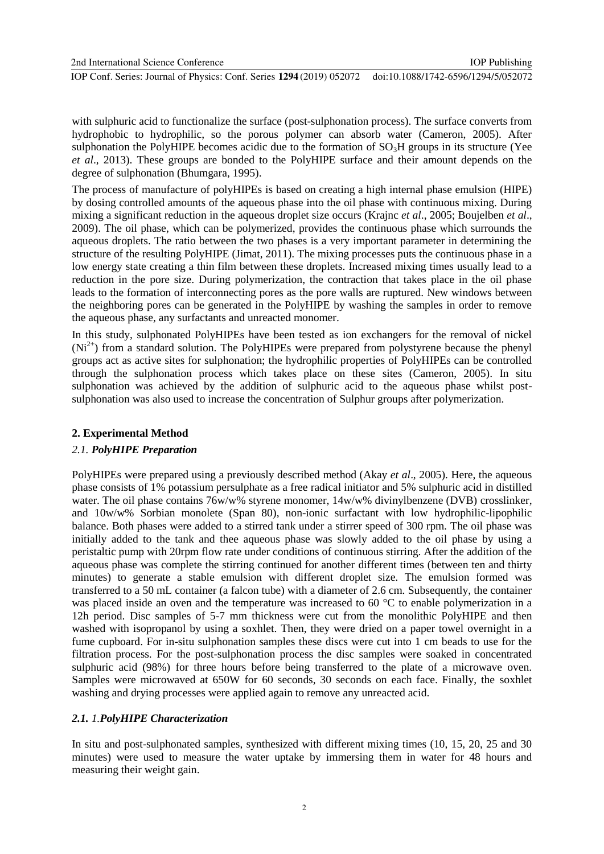2nd International Science Conference IOP Conf. Series: Journal of Physics: Conf. Series **1294** (2019) 052072 IOP Publishing doi:10.1088/1742-6596/1294/5/052072

with sulphuric acid to functionalize the surface (post-sulphonation process). The surface converts from hydrophobic to hydrophilic, so the porous polymer can absorb water (Cameron, 2005). After sulphonation the PolyHIPE becomes acidic due to the formation of  $SO<sub>3</sub>H$  groups in its structure (Yee *et al*., 2013). These groups are bonded to the PolyHIPE surface and their amount depends on the degree of sulphonation (Bhumgara, 1995).

The process of manufacture of polyHIPEs is based on creating a high internal phase emulsion (HIPE) by dosing controlled amounts of the aqueous phase into the oil phase with continuous mixing. During mixing a significant reduction in the aqueous droplet size occurs (Krajnc *et al*., 2005; Boujelben *et al*., 2009). The oil phase, which can be polymerized, provides the continuous phase which surrounds the aqueous droplets. The ratio between the two phases is a very important parameter in determining the structure of the resulting PolyHIPE (Jimat, 2011). The mixing processes puts the continuous phase in a low energy state creating a thin film between these droplets. Increased mixing times usually lead to a reduction in the pore size. During polymerization, the contraction that takes place in the oil phase leads to the formation of interconnecting pores as the pore walls are ruptured. New windows between the neighboring pores can be generated in the PolyHIPE by washing the samples in order to remove the aqueous phase, any surfactants and unreacted monomer.

In this study, sulphonated PolyHIPEs have been tested as ion exchangers for the removal of nickel  $(Ni^{2+})$  from a standard solution. The PolyHIPEs were prepared from polystyrene because the phenyl groups act as active sites for sulphonation; the hydrophilic properties of PolyHIPEs can be controlled through the sulphonation process which takes place on these sites (Cameron, 2005). In situ sulphonation was achieved by the addition of sulphuric acid to the aqueous phase whilst postsulphonation was also used to increase the concentration of Sulphur groups after polymerization.

# **2. Experimental Method**

# *2.1. PolyHIPE Preparation*

PolyHIPEs were prepared using a previously described method (Akay *et al*., 2005). Here, the aqueous phase consists of 1% potassium persulphate as a free radical initiator and 5% sulphuric acid in distilled water. The oil phase contains 76w/w% styrene monomer, 14w/w% divinylbenzene (DVB) crosslinker, and 10w/w% Sorbian monolete (Span 80), non-ionic surfactant with low hydrophilic-lipophilic balance. Both phases were added to a stirred tank under a stirrer speed of 300 rpm. The oil phase was initially added to the tank and thee aqueous phase was slowly added to the oil phase by using a peristaltic pump with 20rpm flow rate under conditions of continuous stirring. After the addition of the aqueous phase was complete the stirring continued for another different times (between ten and thirty minutes) to generate a stable emulsion with different droplet size. The emulsion formed was transferred to a 50 mL container (a falcon tube) with a diameter of 2.6 cm. Subsequently, the container was placed inside an oven and the temperature was increased to 60 °C to enable polymerization in a 12h period. Disc samples of 5-7 mm thickness were cut from the monolithic PolyHIPE and then washed with isopropanol by using a soxhlet. Then, they were dried on a paper towel overnight in a fume cupboard. For in-situ sulphonation samples these discs were cut into 1 cm beads to use for the filtration process. For the post-sulphonation process the disc samples were soaked in concentrated sulphuric acid (98%) for three hours before being transferred to the plate of a microwave oven. Samples were microwaved at 650W for 60 seconds, 30 seconds on each face. Finally, the soxhlet washing and drying processes were applied again to remove any unreacted acid.

# *2.1. 1.PolyHIPE Characterization*

In situ and post-sulphonated samples, synthesized with different mixing times (10, 15, 20, 25 and 30 minutes) were used to measure the water uptake by immersing them in water for 48 hours and measuring their weight gain.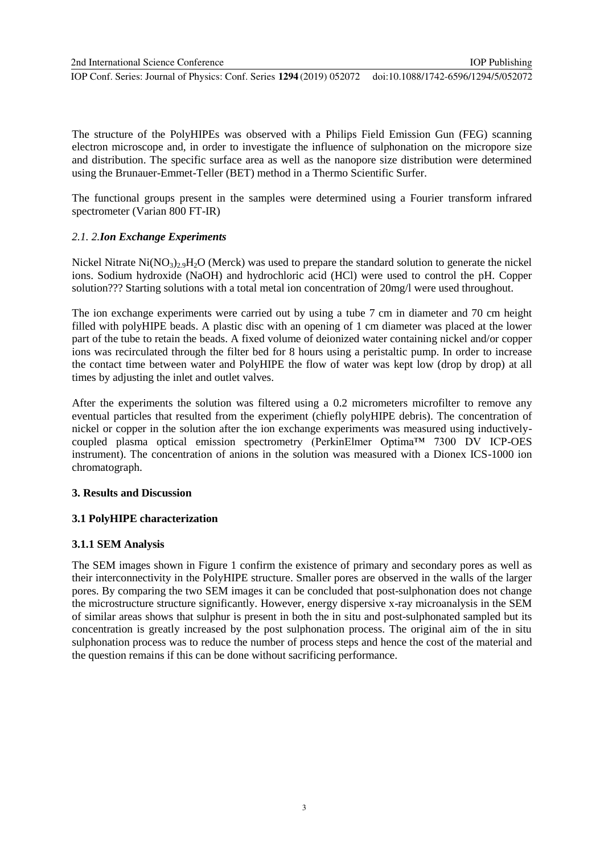The structure of the PolyHIPEs was observed with a Philips Field Emission Gun (FEG) scanning electron microscope and, in order to investigate the influence of sulphonation on the micropore size and distribution. The specific surface area as well as the nanopore size distribution were determined using the Brunauer-Emmet-Teller (BET) method in a Thermo Scientific Surfer.

The functional groups present in the samples were determined using a Fourier transform infrared spectrometer (Varian 800 FT-IR)

# *2.1. 2.Ion Exchange Experiments*

Nickel Nitrate  $Ni(NO_3)_2.9H_2O$  (Merck) was used to prepare the standard solution to generate the nickel ions. Sodium hydroxide (NaOH) and hydrochloric acid (HCl) were used to control the pH. Copper solution??? Starting solutions with a total metal ion concentration of 20mg/l were used throughout.

The ion exchange experiments were carried out by using a tube 7 cm in diameter and 70 cm height filled with polyHIPE beads. A plastic disc with an opening of 1 cm diameter was placed at the lower part of the tube to retain the beads. A fixed volume of deionized water containing nickel and/or copper ions was recirculated through the filter bed for 8 hours using a peristaltic pump. In order to increase the contact time between water and PolyHIPE the flow of water was kept low (drop by drop) at all times by adjusting the inlet and outlet valves.

After the experiments the solution was filtered using a 0.2 micrometers microfilter to remove any eventual particles that resulted from the experiment (chiefly polyHIPE debris). The concentration of nickel or copper in the solution after the ion exchange experiments was measured using inductivelycoupled plasma optical emission spectrometry (PerkinElmer Optima™ 7300 DV ICP-OES instrument). The concentration of anions in the solution was measured with a Dionex ICS-1000 ion chromatograph.

# **3. Results and Discussion**

# **3.1 PolyHIPE characterization**

# **3.1.1 SEM Analysis**

The SEM images shown in Figure 1 confirm the existence of primary and secondary pores as well as their interconnectivity in the PolyHIPE structure. Smaller pores are observed in the walls of the larger pores. By comparing the two SEM images it can be concluded that post-sulphonation does not change the microstructure structure significantly. However, energy dispersive x-ray microanalysis in the SEM of similar areas shows that sulphur is present in both the in situ and post-sulphonated sampled but its concentration is greatly increased by the post sulphonation process. The original aim of the in situ sulphonation process was to reduce the number of process steps and hence the cost of the material and the question remains if this can be done without sacrificing performance.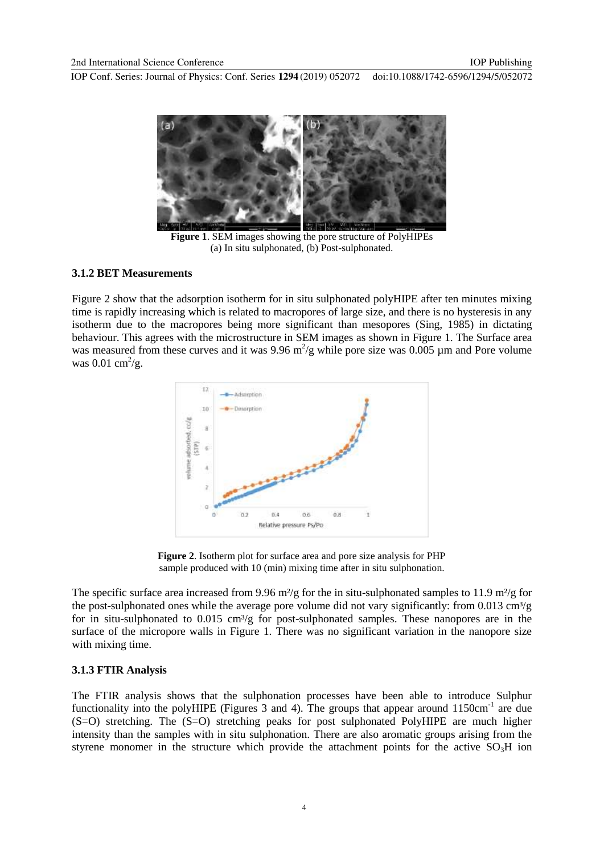

**Figure 1**. SEM images showing the pore structure of PolyHIPEs (a) In situ sulphonated, (b) Post-sulphonated.

#### **3.1.2 BET Measurements**

Figure 2 show that the adsorption isotherm for in situ sulphonated polyHIPE after ten minutes mixing time is rapidly increasing which is related to macropores of large size, and there is no hysteresis in any isotherm due to the macropores being more significant than mesopores [\(Sing, 1985\)](#page-12-0) in dictating behaviour. This agrees with the microstructure in SEM images as shown in Figure 1. The Surface area was measured from these curves and it was 9.96  $m^2/g$  while pore size was 0.005 µm and Pore volume was  $0.01 \text{ cm}^2/\text{g}$ .



**Figure 2**. Isotherm plot for surface area and pore size analysis for PHP sample produced with 10 (min) mixing time after in situ sulphonation.

The specific surface area increased from 9.96 m<sup>2</sup>/g for the in situ-sulphonated samples to 11.9 m<sup>2</sup>/g for the post-sulphonated ones while the average pore volume did not vary significantly: from 0.013 cm<sup>3</sup>/g for in situ-sulphonated to  $0.015 \text{ cm}^3/\text{g}$  for post-sulphonated samples. These nanopores are in the surface of the micropore walls in Figure 1. There was no significant variation in the nanopore size with mixing time.

# **3.1.3 FTIR Analysis**

The FTIR analysis shows that the sulphonation processes have been able to introduce Sulphur functionality into the polyHIPE (Figures  $3$  and  $4$ ). The groups that appear around  $1150 \text{cm}^{-1}$  are due (S=O) stretching. The (S=O) stretching peaks for post sulphonated PolyHIPE are much higher intensity than the samples with in situ sulphonation. There are also aromatic groups arising from the styrene monomer in the structure which provide the attachment points for the active  $SO_3H$  ion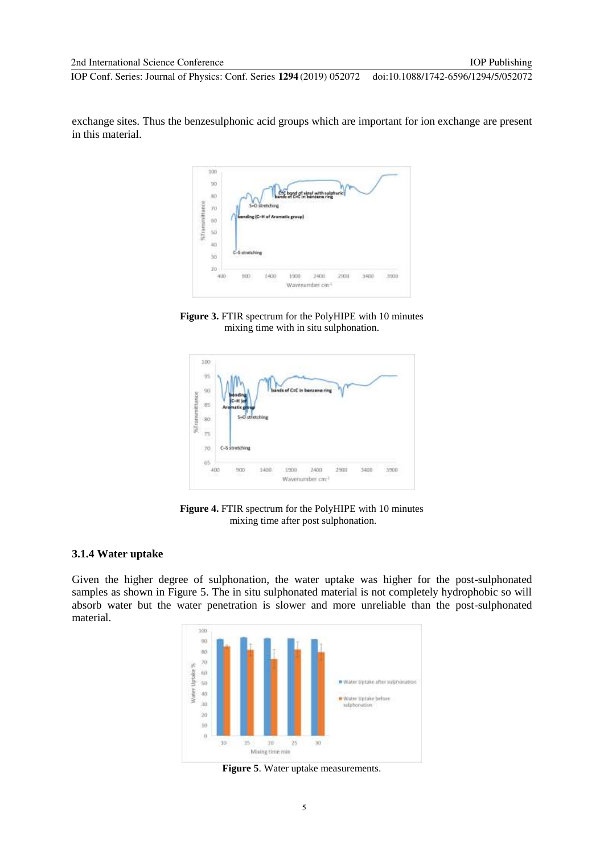exchange sites. Thus the benzesulphonic acid groups which are important for ion exchange are present in this material.



**Figure 3.** FTIR spectrum for the PolyHIPE with 10 minutes mixing time with in situ sulphonation.



**Figure 4.** FTIR spectrum for the PolyHIPE with 10 minutes mixing time after post sulphonation.

#### **3.1.4 Water uptake**

Given the higher degree of sulphonation, the water uptake was higher for the post-sulphonated samples as shown in Figure 5. The in situ sulphonated material is not completely hydrophobic so will absorb water but the water penetration is slower and more unreliable than the post-sulphonated material.



**Figure 5**. Water uptake measurements.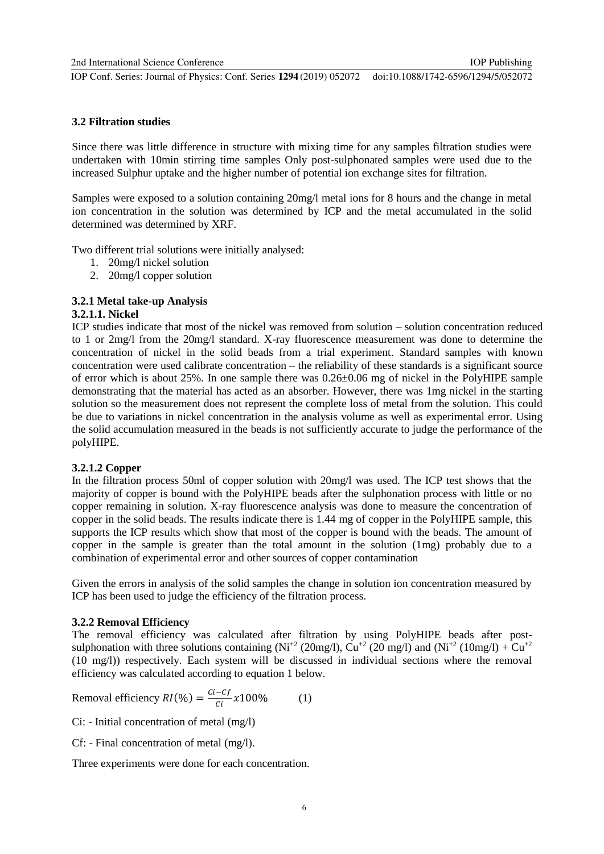IOP Publishing

# **3.2 Filtration studies**

Since there was little difference in structure with mixing time for any samples filtration studies were undertaken with 10min stirring time samples Only post-sulphonated samples were used due to the increased Sulphur uptake and the higher number of potential ion exchange sites for filtration.

Samples were exposed to a solution containing 20mg/l metal ions for 8 hours and the change in metal ion concentration in the solution was determined by ICP and the metal accumulated in the solid determined was determined by XRF.

Two different trial solutions were initially analysed:

- 1. 20mg/l nickel solution
- 2. 20mg/l copper solution

# **3.2.1 Metal take-up Analysis**

#### **3.2.1.1. Nickel**

ICP studies indicate that most of the nickel was removed from solution – solution concentration reduced to 1 or 2mg/l from the 20mg/l standard. X-ray fluorescence measurement was done to determine the concentration of nickel in the solid beads from a trial experiment. Standard samples with known concentration were used calibrate concentration – the reliability of these standards is a significant source of error which is about 25%. In one sample there was 0.26±0.06 mg of nickel in the PolyHIPE sample demonstrating that the material has acted as an absorber. However, there was 1mg nickel in the starting solution so the measurement does not represent the complete loss of metal from the solution. This could be due to variations in nickel concentration in the analysis volume as well as experimental error. Using the solid accumulation measured in the beads is not sufficiently accurate to judge the performance of the polyHIPE.

# **3.2.1.2 Copper**

In the filtration process 50ml of copper solution with 20mg/l was used. The ICP test shows that the majority of copper is bound with the PolyHIPE beads after the sulphonation process with little or no copper remaining in solution. X-ray fluorescence analysis was done to measure the concentration of copper in the solid beads. The results indicate there is 1.44 mg of copper in the PolyHIPE sample, this supports the ICP results which show that most of the copper is bound with the beads. The amount of copper in the sample is greater than the total amount in the solution (1mg) probably due to a combination of experimental error and other sources of copper contamination

Given the errors in analysis of the solid samples the change in solution ion concentration measured by ICP has been used to judge the efficiency of the filtration process.

# **3.2.2 Removal Efficiency**

The removal efficiency was calculated after filtration by using PolyHIPE beads after postsulphonation with three solutions containing  $(Ni^{2} (20mg/l), Cu^{2} (20mg/l)$  and  $(Ni^{2} (10mg/l) + Cu^{2}$ (10 mg/l)) respectively. Each system will be discussed in individual sections where the removal efficiency was calculated according to equation 1 below.

Removal efficiency 
$$
RI(\%) = \frac{ci - cf}{ci} \times 100\%
$$
 (1)

Ci: - Initial concentration of metal (mg/l)

Cf: - Final concentration of metal (mg/l).

Three experiments were done for each concentration.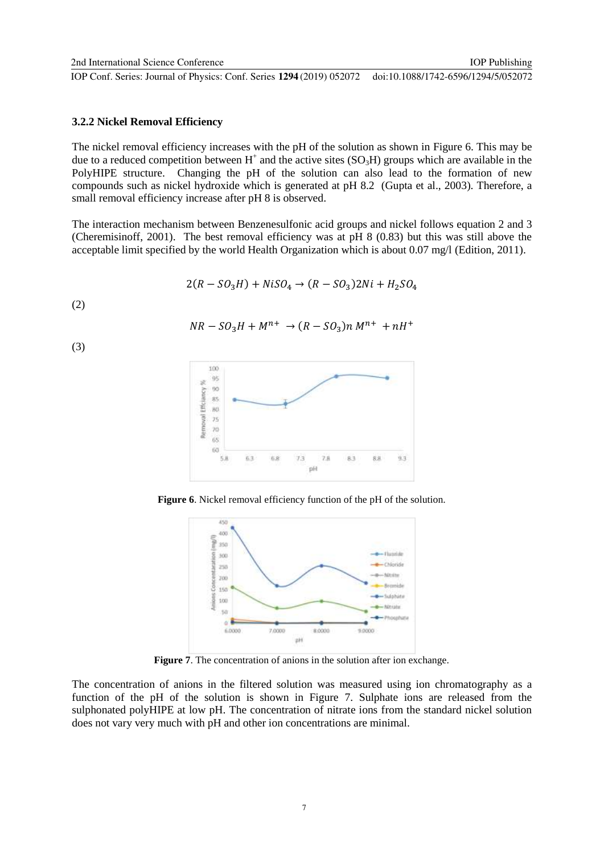IOP Publishing

#### **3.2.2 Nickel Removal Efficiency**

The nickel removal efficiency increases with the pH of the solution as shown in Figure 6. This may be due to a reduced competition between  $H^+$  and the active sites (SO<sub>3</sub>H) groups which are available in the PolyHIPE structure. Changing the pH of the solution can also lead to the formation of new compounds such as nickel hydroxide which is generated at pH 8.2 [\(Gupta et al., 2003\)](#page-12-1). Therefore, a small removal efficiency increase after pH 8 is observed.

The interaction mechanism between Benzenesulfonic acid groups and nickel follows equation 2 and 3 [\(Cheremisinoff, 2001\)](#page-12-2). The best removal efficiency was at pH 8 (0.83) but this was still above the acceptable limit specified by the world Health Organization which is about 0.07 mg/l [\(Edition, 2011\)](#page-12-3).

$$
2(R - SO_3H) + NiSO_4 \rightarrow (R - SO_3)2Ni + H_2SO_4
$$

$$
(2)
$$

(3)

$$
NR - SO_3H + M^{n+} \rightarrow (R - SO_3)n M^{n+} + nH^+
$$



**Figure 6**. Nickel removal efficiency function of the pH of the solution.



**Figure 7**. The concentration of anions in the solution after ion exchange.

The concentration of anions in the filtered solution was measured using ion chromatography as a function of the pH of the solution is shown in Figure 7. Sulphate ions are released from the sulphonated polyHIPE at low pH. The concentration of nitrate ions from the standard nickel solution does not vary very much with pH and other ion concentrations are minimal.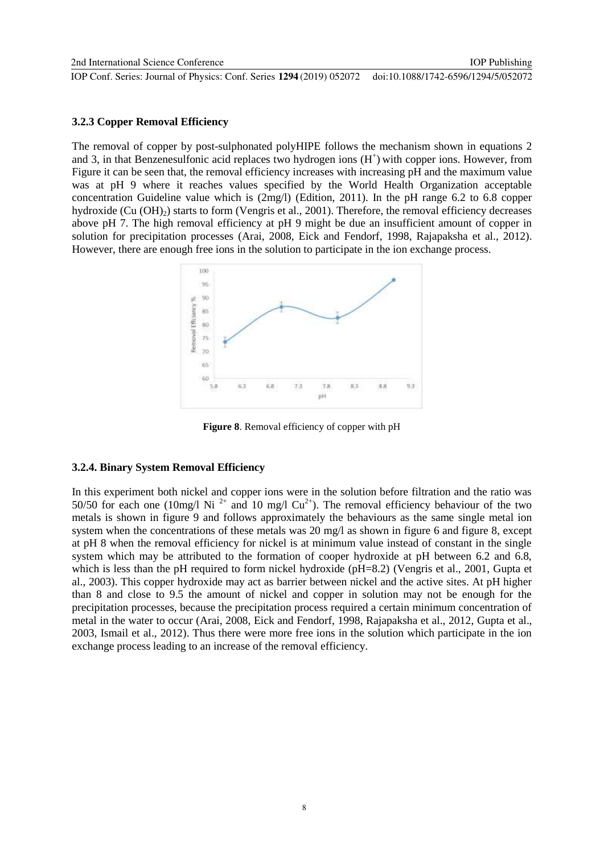IOP Publishing

#### **3.2.3 Copper Removal Efficiency**

The removal of copper by post-sulphonated polyHIPE follows the mechanism shown in equations 2 and 3, in that Benzenesulfonic acid replaces two hydrogen ions  $(H<sup>+</sup>)$  with copper ions. However, from [Figure](#page-8-0) it can be seen that, the removal efficiency increases with increasing pH and the maximum value was at pH 9 where it reaches values specified by the World Health Organization acceptable concentration Guideline value which is (2mg/l) [\(Edition, 2011\)](#page-12-3). In the pH range 6.2 to 6.8 copper hydroxide (Cu  $(OH)_{2}$ ) starts to form [\(Vengris et al., 2001\)](#page-12-4). Therefore, the removal efficiency decreases above pH 7. The high removal efficiency at pH 9 might be due an insufficient amount of copper in solution for precipitation processes [\(Arai, 2008,](#page-12-5) [Eick and Fendorf, 1998,](#page-12-6) [Rajapaksha et al., 2012\)](#page-12-7). However, there are enough free ions in the solution to participate in the ion exchange process.



**Figure 8**. Removal efficiency of copper with pH

#### <span id="page-8-0"></span>**3.2.4. Binary System Removal Efficiency**

In this experiment both nickel and copper ions were in the solution before filtration and the ratio was 50/50 for each one (10mg/l Ni<sup>2+</sup> and 10 mg/l Cu<sup>2+</sup>). The removal efficiency behaviour of the two metals is shown in figure 9 and follows approximately the behaviours as the same single metal ion system when the concentrations of these metals was 20 mg/l as shown in figure 6 and figure 8, except at pH 8 when the removal efficiency for nickel is at minimum value instead of constant in the single system which may be attributed to the formation of cooper hydroxide at pH between 6.2 and 6.8, which is less than the pH required to form nickel hydroxide (pH=8.2) [\(Vengris et al., 2001,](#page-12-4) Gupta et [al., 2003\)](#page-12-1). This copper hydroxide may act as barrier between nickel and the active sites. At pH higher than 8 and close to 9.5 the amount of nickel and copper in solution may not be enough for the precipitation processes, because the precipitation process required a certain minimum concentration of metal in the water to occur [\(Arai, 2008,](#page-12-5) [Eick and Fendorf, 1998,](#page-12-6) [Rajapaksha et al., 2012,](#page-12-7) [Gupta et al.,](#page-12-1)  [2003,](#page-12-1) [Ismail et al., 2012\)](#page-12-8). Thus there were more free ions in the solution which participate in the ion exchange process leading to an increase of the removal efficiency.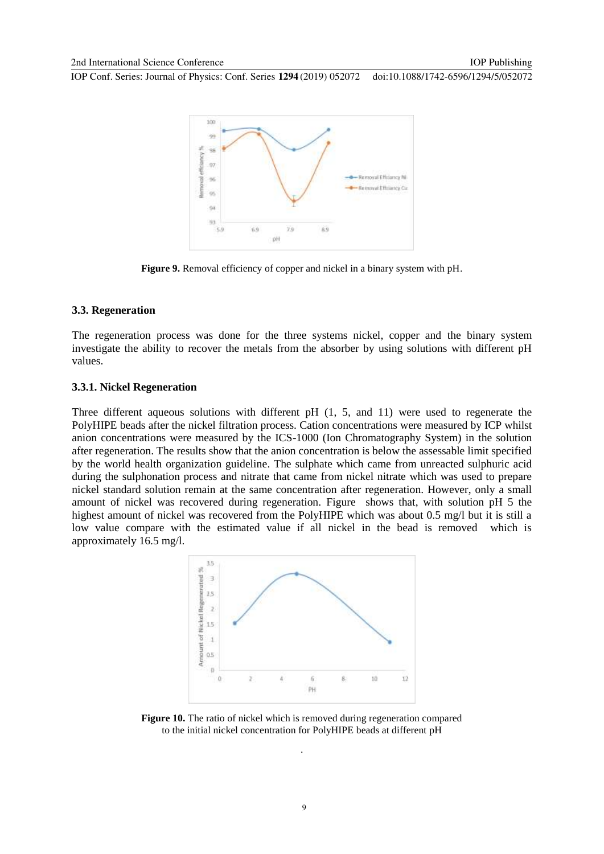

**Figure 9.** Removal efficiency of copper and nickel in a binary system with pH.

#### **3.3. Regeneration**

The regeneration process was done for the three systems nickel, copper and the binary system investigate the ability to recover the metals from the absorber by using solutions with different pH values.

#### **3.3.1. Nickel Regeneration**

Three different aqueous solutions with different pH (1, 5, and 11) were used to regenerate the PolyHIPE beads after the nickel filtration process. Cation concentrations were measured by ICP whilst anion concentrations were measured by the ICS-1000 (Ion Chromatography System) in the solution after regeneration. The results show that the anion concentration is below the assessable limit specified by the world health organization guideline. The sulphate which came from unreacted sulphuric acid during the sulphonation process and nitrate that came from nickel nitrate which was used to prepare nickel standard solution remain at the same concentration after regeneration. However, only a small amount of nickel was recovered during regeneration. [Figure](#page-9-0) shows that, with solution pH 5 the highest amount of nickel was recovered from the PolyHIPE which was about 0.5 mg/l but it is still a low value compare with the estimated value if all nickel in the bead is removed which is approximately 16.5 mg/l.



<span id="page-9-0"></span>**Figure 10.** The ratio of nickel which is removed during regeneration compared to the initial nickel concentration for PolyHIPE beads at different pH

.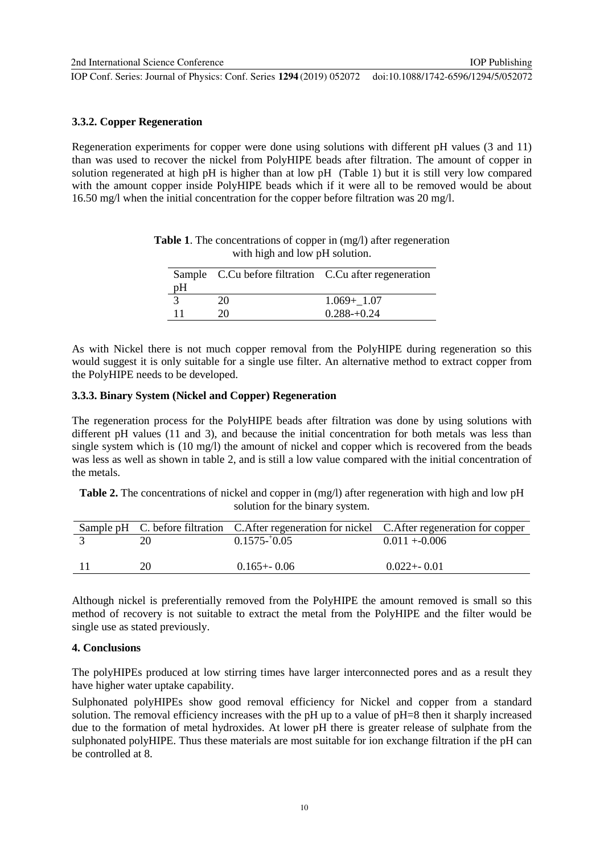IOP Publishing

# **3.3.2. Copper Regeneration**

Regeneration experiments for copper were done using solutions with different pH values (3 and 11) than was used to recover the nickel from PolyHIPE beads after filtration. The amount of copper in solution regenerated at high pH is higher than at low pH (Table 1) but it is still very low compared with the amount copper inside PolyHIPE beads which if it were all to be removed would be about 16.50 mg/l when the initial concentration for the copper before filtration was 20 mg/l.

|    |    | Sample C.Cu before filtration C.Cu after regeneration |
|----|----|-------------------------------------------------------|
| pH |    |                                                       |
|    | 20 | $1.069 + 1.07$                                        |
|    | 20 | $0.288 - 0.24$                                        |

**Table 1**. The concentrations of copper in (mg/l) after regeneration with high and low pH solution.

As with Nickel there is not much copper removal from the PolyHIPE during regeneration so this would suggest it is only suitable for a single use filter. An alternative method to extract copper from the PolyHIPE needs to be developed.

#### **3.3.3. Binary System (Nickel and Copper) Regeneration**

The regeneration process for the PolyHIPE beads after filtration was done by using solutions with different pH values (11 and 3), and because the initial concentration for both metals was less than single system which is (10 mg/l) the amount of nickel and copper which is recovered from the beads was less as well as shown in table 2, and is still a low value compared with the initial concentration of the metals.

**Table 2.** The concentrations of nickel and copper in (mg/l) after regeneration with high and low pH solution for the binary system.

|    |                 | Sample pH C. before filtration C. After regeneration for nickel C. After regeneration for copper |
|----|-----------------|--------------------------------------------------------------------------------------------------|
|    | $0.1575 - 0.05$ | $0.011 + 0.006$                                                                                  |
|    |                 |                                                                                                  |
| 20 | $0.165 + 0.06$  | $0.022 + 0.01$                                                                                   |

Although nickel is preferentially removed from the PolyHIPE the amount removed is small so this method of recovery is not suitable to extract the metal from the PolyHIPE and the filter would be single use as stated previously.

## **4. Conclusions**

The polyHIPEs produced at low stirring times have larger interconnected pores and as a result they have higher water uptake capability.

Sulphonated polyHIPEs show good removal efficiency for Nickel and copper from a standard solution. The removal efficiency increases with the pH up to a value of pH=8 then it sharply increased due to the formation of metal hydroxides. At lower pH there is greater release of sulphate from the sulphonated polyHIPE. Thus these materials are most suitable for ion exchange filtration if the pH can be controlled at 8.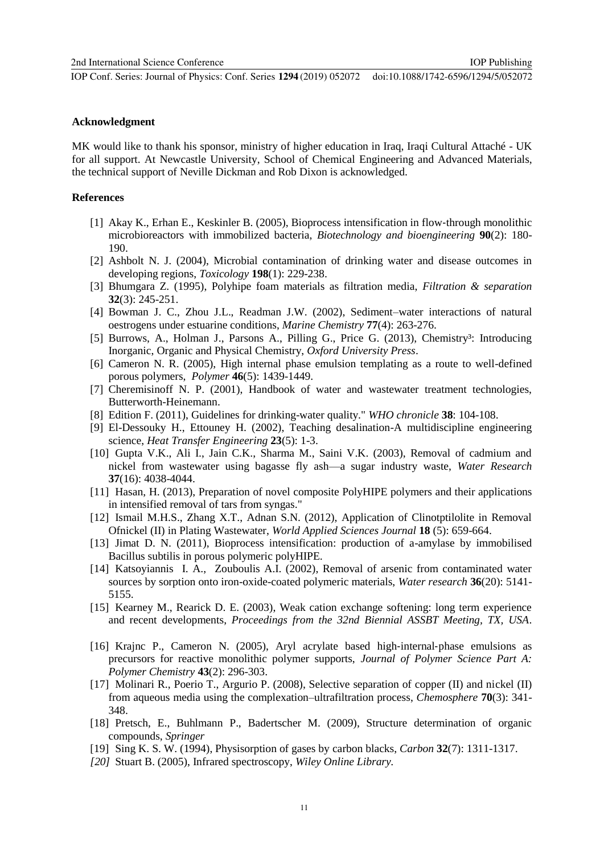#### **Acknowledgment**

MK would like to thank his sponsor, ministry of higher education in Iraq, Iraqi Cultural Attaché - UK for all support. At Newcastle University, School of Chemical Engineering and Advanced Materials, the technical support of Neville Dickman and Rob Dixon is acknowledged.

# **References**

- [1] Akay K., Erhan E., Keskinler B. (2005), Bioprocess intensification in flow‐through monolithic microbioreactors with immobilized bacteria, *Biotechnology and bioengineering* **90**(2): 180- 190.
- [2] Ashbolt N. J. (2004), Microbial contamination of drinking water and disease outcomes in developing regions, *Toxicology* **198**(1): 229-238.
- [3] Bhumgara Z. (1995), Polyhipe foam materials as filtration media, *Filtration & separation* **32**(3): 245-251.
- [4] Bowman J. C., Zhou J.L., Readman J.W. (2002), Sediment–water interactions of natural oestrogens under estuarine conditions, *Marine Chemistry* **77**(4): 263-276.
- [5] Burrows, A., Holman J., Parsons A., Pilling G., Price G. (2013), Chemistry<sup>3</sup>: Introducing Inorganic, Organic and Physical Chemistry, *Oxford University Press*.
- [6] Cameron N. R. (2005), High internal phase emulsion templating as a route to well-defined porous polymers, *Polymer* **46**(5): 1439-1449.
- [7] Cheremisinoff N. P. (2001), Handbook of water and wastewater treatment technologies, Butterworth-Heinemann.
- [8] Edition F. (2011), Guidelines for drinking-water quality." *WHO chronicle* **38**: 104-108.
- [9] El-Dessouky H., Ettouney H. (2002), Teaching desalination-A multidiscipline engineering science, *Heat Transfer Engineering* **23**(5): 1-3.
- [10] Gupta V.K., Ali I., Jain C.K., Sharma M., Saini V.K. (2003), Removal of cadmium and nickel from wastewater using bagasse fly ash—a sugar industry waste, *Water Research* **37**(16): 4038-4044.
- [11] Hasan, H. (2013), Preparation of novel composite PolyHIPE polymers and their applications in intensified removal of tars from syngas."
- [12] Ismail M.H.S., Zhang X.T., Adnan S.N. (2012), Application of Clinotptilolite in Removal Ofnickel (II) in Plating Wastewater, *World Applied Sciences Journal* **18** (5): 659-664.
- [13] Jimat D. N. (2011), Bioprocess intensification: production of a-amylase by immobilised Bacillus subtilis in porous polymeric polyHIPE.
- [14] Katsoyiannis I. A., Zouboulis A.I. (2002), Removal of arsenic from contaminated water sources by sorption onto iron-oxide-coated polymeric materials, *Water research* **36**(20): 5141- 5155.
- [15] Kearney M., Rearick D. E. (2003), Weak cation exchange softening: long term experience and recent developments, *Proceedings from the 32nd Biennial ASSBT Meeting, TX, USA*.
- [16] Krajnc P., Cameron N. (2005), Aryl acrylate based high‐internal‐phase emulsions as precursors for reactive monolithic polymer supports, *Journal of Polymer Science Part A: Polymer Chemistry* **43**(2): 296-303.
- [17] Molinari R., Poerio T., Argurio P. (2008), Selective separation of copper (II) and nickel (II) from aqueous media using the complexation–ultrafiltration process, *Chemosphere* **70**(3): 341- 348.
- [18] Pretsch, E., Buhlmann P., Badertscher M. (2009), Structure determination of organic compounds, *Springer*
- [19] Sing K. S. W. (1994), Physisorption of gases by carbon blacks, *Carbon* **32**(7): 1311-1317.
- *[20]* Stuart B. (2005), Infrared spectroscopy, *Wiley Online Library.*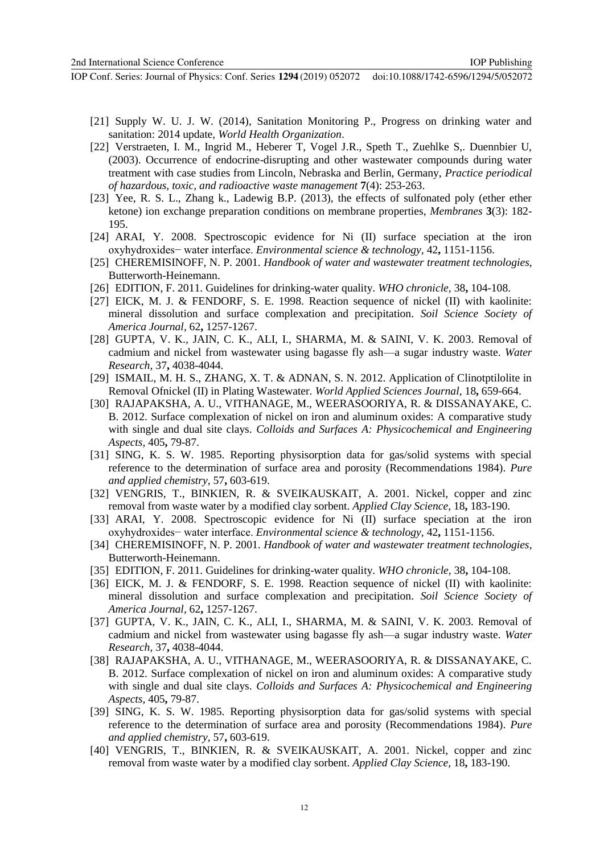- [21] Supply W. U. J. W. (2014), Sanitation Monitoring P., Progress on drinking water and sanitation: 2014 update, *World Health Organization*.
- [22] Verstraeten, I. M., Ingrid M., Heberer T, Vogel J.R., Speth T., Zuehlke S,. Duennbier U, (2003). Occurrence of endocrine-disrupting and other wastewater compounds during water treatment with case studies from Lincoln, Nebraska and Berlin, Germany, *Practice periodical of hazardous, toxic, and radioactive waste management* **7**(4): 253-263.
- [23] Yee, R. S. L., Zhang k., Ladewig B.P. (2013), the effects of sulfonated poly (ether ether ketone) ion exchange preparation conditions on membrane properties, *Membranes* **3**(3): 182- 195.
- <span id="page-12-5"></span>[24] ARAI, Y. 2008. Spectroscopic evidence for Ni (II) surface speciation at the iron oxyhydroxides− water interface. *Environmental science & technology,* 42**,** 1151-1156.
- <span id="page-12-2"></span>[25] CHEREMISINOFF, N. P. 2001. *Handbook of water and wastewater treatment technologies*, Butterworth-Heinemann.
- <span id="page-12-3"></span>[26] EDITION, F. 2011. Guidelines for drinking-water quality. *WHO chronicle,* 38**,** 104-108.
- <span id="page-12-6"></span>[27] EICK, M. J. & FENDORF, S. E. 1998. Reaction sequence of nickel (II) with kaolinite: mineral dissolution and surface complexation and precipitation. *Soil Science Society of America Journal,* 62**,** 1257-1267.
- <span id="page-12-1"></span>[28] GUPTA, V. K., JAIN, C. K., ALI, I., SHARMA, M. & SAINI, V. K. 2003. Removal of cadmium and nickel from wastewater using bagasse fly ash—a sugar industry waste. *Water Research,* 37**,** 4038-4044.
- <span id="page-12-8"></span>[29] ISMAIL, M. H. S., ZHANG, X. T. & ADNAN, S. N. 2012. Application of Clinotptilolite in Removal Ofnickel (II) in Plating Wastewater. *World Applied Sciences Journal,* 18**,** 659-664.
- <span id="page-12-7"></span>[30] RAJAPAKSHA, A. U., VITHANAGE, M., WEERASOORIYA, R. & DISSANAYAKE, C. B. 2012. Surface complexation of nickel on iron and aluminum oxides: A comparative study with single and dual site clays. *Colloids and Surfaces A: Physicochemical and Engineering Aspects,* 405**,** 79-87.
- <span id="page-12-0"></span>[31] SING, K. S. W. 1985. Reporting physisorption data for gas/solid systems with special reference to the determination of surface area and porosity (Recommendations 1984). *Pure and applied chemistry,* 57**,** 603-619.
- <span id="page-12-4"></span>[32] VENGRIS, T., BINKIEN, R. & SVEIKAUSKAIT, A. 2001. Nickel, copper and zinc removal from waste water by a modified clay sorbent. *Applied Clay Science,* 18**,** 183-190.
- [33] ARAI, Y. 2008. Spectroscopic evidence for Ni (II) surface speciation at the iron oxyhydroxides− water interface. *Environmental science & technology,* 42**,** 1151-1156.
- [34] CHEREMISINOFF, N. P. 2001. *Handbook of water and wastewater treatment technologies*, Butterworth-Heinemann.
- [35] EDITION, F. 2011. Guidelines for drinking-water quality. *WHO chronicle,* 38**,** 104-108.
- [36] EICK, M. J. & FENDORF, S. E. 1998. Reaction sequence of nickel (II) with kaolinite: mineral dissolution and surface complexation and precipitation. *Soil Science Society of America Journal,* 62**,** 1257-1267.
- [37] GUPTA, V. K., JAIN, C. K., ALI, I., SHARMA, M. & SAINI, V. K. 2003. Removal of cadmium and nickel from wastewater using bagasse fly ash—a sugar industry waste. *Water Research,* 37**,** 4038-4044.
- [38] RAJAPAKSHA, A. U., VITHANAGE, M., WEERASOORIYA, R. & DISSANAYAKE, C. B. 2012. Surface complexation of nickel on iron and aluminum oxides: A comparative study with single and dual site clays. *Colloids and Surfaces A: Physicochemical and Engineering Aspects,* 405**,** 79-87.
- [39] SING, K. S. W. 1985. Reporting physisorption data for gas/solid systems with special reference to the determination of surface area and porosity (Recommendations 1984). *Pure and applied chemistry,* 57**,** 603-619.
- [40] VENGRIS, T., BINKIEN, R. & SVEIKAUSKAIT, A. 2001. Nickel, copper and zinc removal from waste water by a modified clay sorbent. *Applied Clay Science,* 18**,** 183-190.